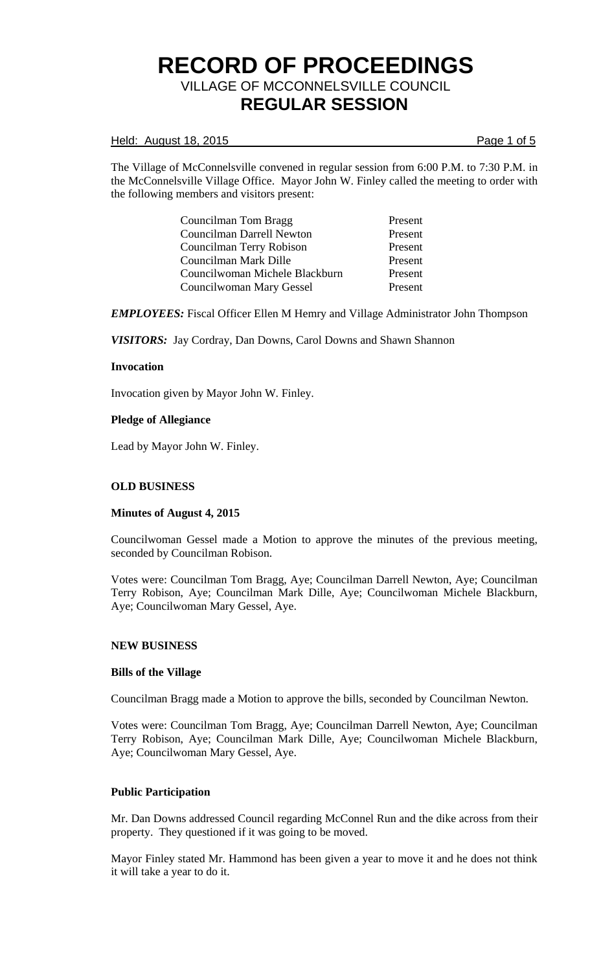## Held: August 18, 2015 **Page 1 of 5**

The Village of McConnelsville convened in regular session from 6:00 P.M. to 7:30 P.M. in the McConnelsville Village Office. Mayor John W. Finley called the meeting to order with the following members and visitors present:

| Councilman Tom Bragg           | Present |
|--------------------------------|---------|
| Councilman Darrell Newton      | Present |
| Councilman Terry Robison       | Present |
| Councilman Mark Dille          | Present |
| Councilwoman Michele Blackburn | Present |
| Councilwoman Mary Gessel       | Present |

*EMPLOYEES:* Fiscal Officer Ellen M Hemry and Village Administrator John Thompson

*VISITORS:* Jay Cordray, Dan Downs, Carol Downs and Shawn Shannon

## **Invocation**

Invocation given by Mayor John W. Finley.

## **Pledge of Allegiance**

Lead by Mayor John W. Finley.

#### **OLD BUSINESS**

#### **Minutes of August 4, 2015**

Councilwoman Gessel made a Motion to approve the minutes of the previous meeting, seconded by Councilman Robison.

Votes were: Councilman Tom Bragg, Aye; Councilman Darrell Newton, Aye; Councilman Terry Robison, Aye; Councilman Mark Dille, Aye; Councilwoman Michele Blackburn, Aye; Councilwoman Mary Gessel, Aye.

## **NEW BUSINESS**

#### **Bills of the Village**

Councilman Bragg made a Motion to approve the bills, seconded by Councilman Newton.

Votes were: Councilman Tom Bragg, Aye; Councilman Darrell Newton, Aye; Councilman Terry Robison, Aye; Councilman Mark Dille, Aye; Councilwoman Michele Blackburn, Aye; Councilwoman Mary Gessel, Aye.

# **Public Participation**

Mr. Dan Downs addressed Council regarding McConnel Run and the dike across from their property. They questioned if it was going to be moved.

Mayor Finley stated Mr. Hammond has been given a year to move it and he does not think it will take a year to do it.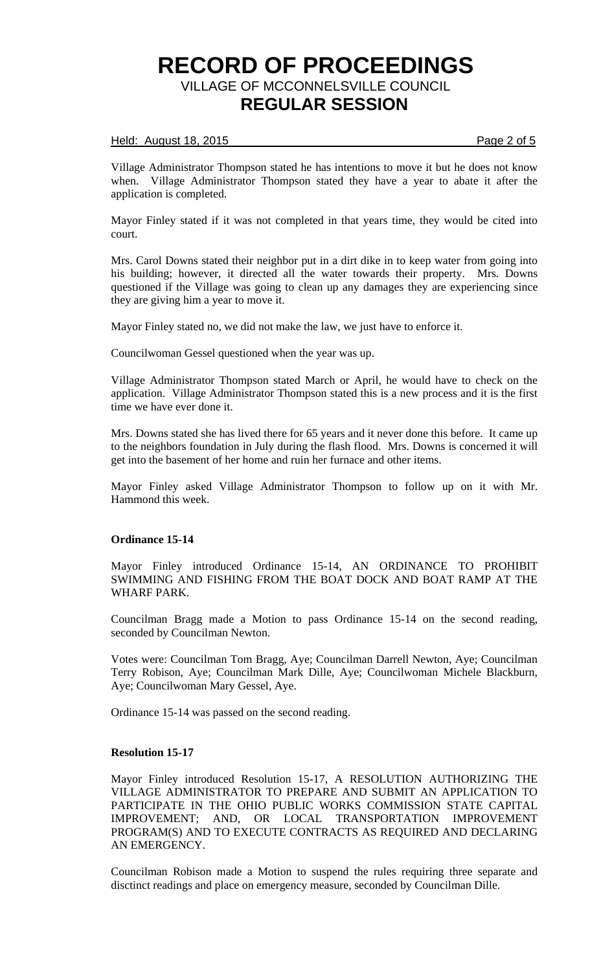#### Held: August 18, 2015 **Page 2 of 5**

Village Administrator Thompson stated he has intentions to move it but he does not know when. Village Administrator Thompson stated they have a year to abate it after the application is completed.

Mayor Finley stated if it was not completed in that years time, they would be cited into court.

Mrs. Carol Downs stated their neighbor put in a dirt dike in to keep water from going into his building; however, it directed all the water towards their property. Mrs. Downs questioned if the Village was going to clean up any damages they are experiencing since they are giving him a year to move it.

Mayor Finley stated no, we did not make the law, we just have to enforce it.

Councilwoman Gessel questioned when the year was up.

Village Administrator Thompson stated March or April, he would have to check on the application. Village Administrator Thompson stated this is a new process and it is the first time we have ever done it.

Mrs. Downs stated she has lived there for 65 years and it never done this before. It came up to the neighbors foundation in July during the flash flood. Mrs. Downs is concerned it will get into the basement of her home and ruin her furnace and other items.

Mayor Finley asked Village Administrator Thompson to follow up on it with Mr. Hammond this week.

# **Ordinance 15-14**

Mayor Finley introduced Ordinance 15-14, AN ORDINANCE TO PROHIBIT SWIMMING AND FISHING FROM THE BOAT DOCK AND BOAT RAMP AT THE WHARF PARK.

Councilman Bragg made a Motion to pass Ordinance 15-14 on the second reading, seconded by Councilman Newton.

Votes were: Councilman Tom Bragg, Aye; Councilman Darrell Newton, Aye; Councilman Terry Robison, Aye; Councilman Mark Dille, Aye; Councilwoman Michele Blackburn, Aye; Councilwoman Mary Gessel, Aye.

Ordinance 15-14 was passed on the second reading.

# **Resolution 15-17**

Mayor Finley introduced Resolution 15-17, A RESOLUTION AUTHORIZING THE VILLAGE ADMINISTRATOR TO PREPARE AND SUBMIT AN APPLICATION TO PARTICIPATE IN THE OHIO PUBLIC WORKS COMMISSION STATE CAPITAL IMPROVEMENT; AND, OR LOCAL TRANSPORTATION IMPROVEMENT PROGRAM(S) AND TO EXECUTE CONTRACTS AS REQUIRED AND DECLARING AN EMERGENCY.

Councilman Robison made a Motion to suspend the rules requiring three separate and disctinct readings and place on emergency measure, seconded by Councilman Dille.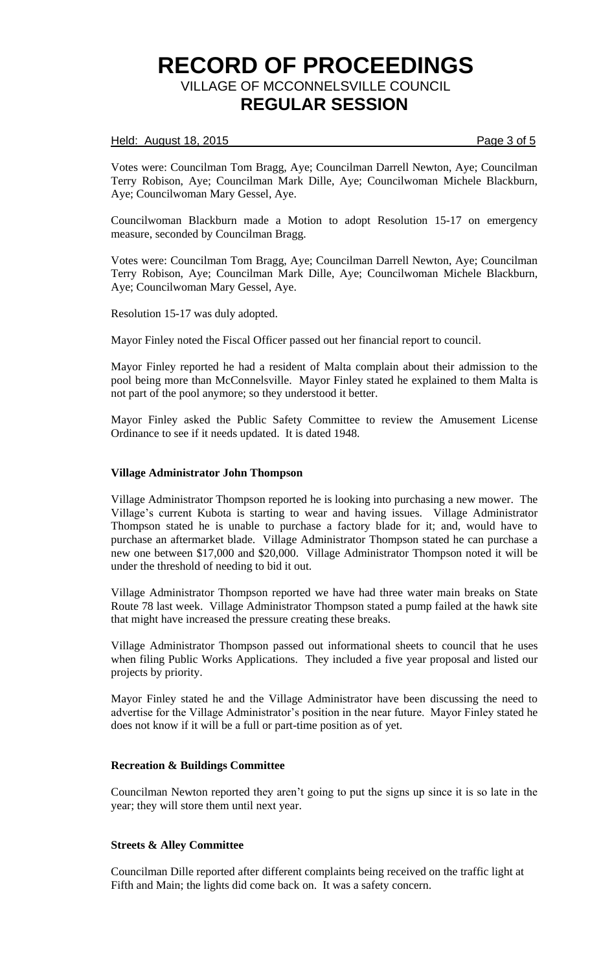## Held: August 18, 2015 **Page 3 of 5**

Votes were: Councilman Tom Bragg, Aye; Councilman Darrell Newton, Aye; Councilman Terry Robison, Aye; Councilman Mark Dille, Aye; Councilwoman Michele Blackburn, Aye; Councilwoman Mary Gessel, Aye.

Councilwoman Blackburn made a Motion to adopt Resolution 15-17 on emergency measure, seconded by Councilman Bragg.

Votes were: Councilman Tom Bragg, Aye; Councilman Darrell Newton, Aye; Councilman Terry Robison, Aye; Councilman Mark Dille, Aye; Councilwoman Michele Blackburn, Aye; Councilwoman Mary Gessel, Aye.

Resolution 15-17 was duly adopted.

Mayor Finley noted the Fiscal Officer passed out her financial report to council.

Mayor Finley reported he had a resident of Malta complain about their admission to the pool being more than McConnelsville. Mayor Finley stated he explained to them Malta is not part of the pool anymore; so they understood it better.

Mayor Finley asked the Public Safety Committee to review the Amusement License Ordinance to see if it needs updated. It is dated 1948.

#### **Village Administrator John Thompson**

Village Administrator Thompson reported he is looking into purchasing a new mower. The Village's current Kubota is starting to wear and having issues. Village Administrator Thompson stated he is unable to purchase a factory blade for it; and, would have to purchase an aftermarket blade. Village Administrator Thompson stated he can purchase a new one between \$17,000 and \$20,000. Village Administrator Thompson noted it will be under the threshold of needing to bid it out.

Village Administrator Thompson reported we have had three water main breaks on State Route 78 last week. Village Administrator Thompson stated a pump failed at the hawk site that might have increased the pressure creating these breaks.

Village Administrator Thompson passed out informational sheets to council that he uses when filing Public Works Applications. They included a five year proposal and listed our projects by priority.

Mayor Finley stated he and the Village Administrator have been discussing the need to advertise for the Village Administrator's position in the near future. Mayor Finley stated he does not know if it will be a full or part-time position as of yet.

# **Recreation & Buildings Committee**

Councilman Newton reported they aren't going to put the signs up since it is so late in the year; they will store them until next year.

# **Streets & Alley Committee**

Councilman Dille reported after different complaints being received on the traffic light at Fifth and Main; the lights did come back on. It was a safety concern.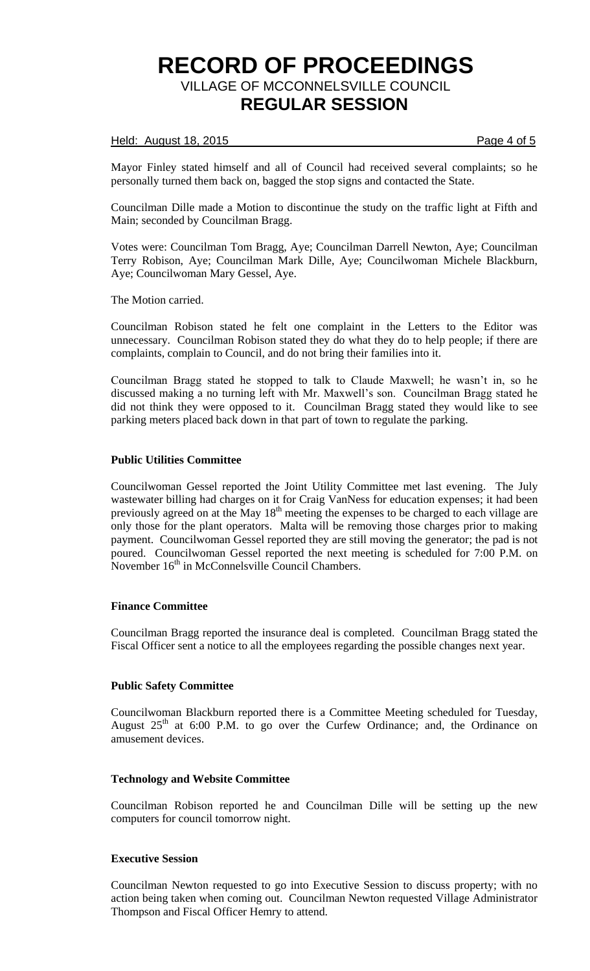## Held: August 18, 2015 **Page 4 of 5**

Mayor Finley stated himself and all of Council had received several complaints; so he personally turned them back on, bagged the stop signs and contacted the State.

Councilman Dille made a Motion to discontinue the study on the traffic light at Fifth and Main; seconded by Councilman Bragg.

Votes were: Councilman Tom Bragg, Aye; Councilman Darrell Newton, Aye; Councilman Terry Robison, Aye; Councilman Mark Dille, Aye; Councilwoman Michele Blackburn, Aye; Councilwoman Mary Gessel, Aye.

The Motion carried.

Councilman Robison stated he felt one complaint in the Letters to the Editor was unnecessary. Councilman Robison stated they do what they do to help people; if there are complaints, complain to Council, and do not bring their families into it.

Councilman Bragg stated he stopped to talk to Claude Maxwell; he wasn't in, so he discussed making a no turning left with Mr. Maxwell's son. Councilman Bragg stated he did not think they were opposed to it. Councilman Bragg stated they would like to see parking meters placed back down in that part of town to regulate the parking.

## **Public Utilities Committee**

Councilwoman Gessel reported the Joint Utility Committee met last evening. The July wastewater billing had charges on it for Craig VanNess for education expenses; it had been previously agreed on at the May  $18<sup>th</sup>$  meeting the expenses to be charged to each village are only those for the plant operators. Malta will be removing those charges prior to making payment. Councilwoman Gessel reported they are still moving the generator; the pad is not poured. Councilwoman Gessel reported the next meeting is scheduled for 7:00 P.M. on November 16<sup>th</sup> in McConnelsville Council Chambers.

#### **Finance Committee**

Councilman Bragg reported the insurance deal is completed. Councilman Bragg stated the Fiscal Officer sent a notice to all the employees regarding the possible changes next year.

# **Public Safety Committee**

Councilwoman Blackburn reported there is a Committee Meeting scheduled for Tuesday, August  $25<sup>th</sup>$  at 6:00 P.M. to go over the Curfew Ordinance; and, the Ordinance on amusement devices.

#### **Technology and Website Committee**

Councilman Robison reported he and Councilman Dille will be setting up the new computers for council tomorrow night.

#### **Executive Session**

Councilman Newton requested to go into Executive Session to discuss property; with no action being taken when coming out. Councilman Newton requested Village Administrator Thompson and Fiscal Officer Hemry to attend.